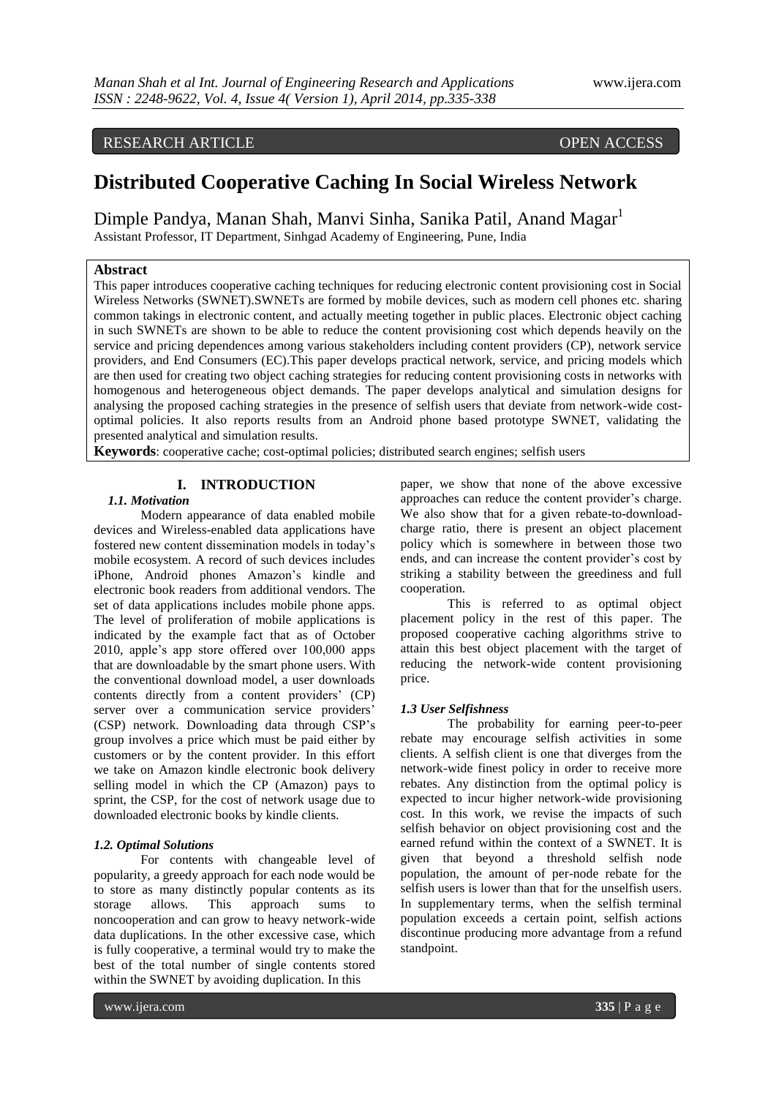# RESEARCH ARTICLE OPEN ACCESS

# **Distributed Cooperative Caching In Social Wireless Network**

Dimple Pandya, Manan Shah, Manvi Sinha, Sanika Patil, Anand Magar<sup>1</sup> Assistant Professor, IT Department, Sinhgad Academy of Engineering, Pune, India

### **Abstract**

This paper introduces cooperative caching techniques for reducing electronic content provisioning cost in Social Wireless Networks (SWNET).SWNETs are formed by mobile devices, such as modern cell phones etc. sharing common takings in electronic content, and actually meeting together in public places. Electronic object caching in such SWNETs are shown to be able to reduce the content provisioning cost which depends heavily on the service and pricing dependences among various stakeholders including content providers (CP), network service providers, and End Consumers (EC).This paper develops practical network, service, and pricing models which are then used for creating two object caching strategies for reducing content provisioning costs in networks with homogenous and heterogeneous object demands. The paper develops analytical and simulation designs for analysing the proposed caching strategies in the presence of selfish users that deviate from network-wide costoptimal policies. It also reports results from an Android phone based prototype SWNET, validating the presented analytical and simulation results.

**Keywords**: cooperative cache; cost-optimal policies; distributed search engines; selfish users

# **I. INTRODUCTION**

### *1.1. Motivation*

Modern appearance of data enabled mobile devices and Wireless-enabled data applications have fostered new content dissemination models in today's mobile ecosystem. A record of such devices includes iPhone, Android phones Amazon's kindle and electronic book readers from additional vendors. The set of data applications includes mobile phone apps. The level of proliferation of mobile applications is indicated by the example fact that as of October 2010, apple's app store offered over 100,000 apps that are downloadable by the smart phone users. With the conventional download model, a user downloads contents directly from a content providers' (CP) server over a communication service providers' (CSP) network. Downloading data through CSP's group involves a price which must be paid either by customers or by the content provider. In this effort we take on Amazon kindle electronic book delivery selling model in which the CP (Amazon) pays to sprint, the CSP, for the cost of network usage due to downloaded electronic books by kindle clients.

### *1.2. Optimal Solutions*

For contents with changeable level of popularity, a greedy approach for each node would be to store as many distinctly popular contents as its storage allows. This approach sums to noncooperation and can grow to heavy network-wide data duplications. In the other excessive case, which is fully cooperative, a terminal would try to make the best of the total number of single contents stored within the SWNET by avoiding duplication. In this

paper, we show that none of the above excessive approaches can reduce the content provider's charge. We also show that for a given rebate-to-downloadcharge ratio, there is present an object placement policy which is somewhere in between those two ends, and can increase the content provider's cost by striking a stability between the greediness and full cooperation.

This is referred to as optimal object placement policy in the rest of this paper. The proposed cooperative caching algorithms strive to attain this best object placement with the target of reducing the network-wide content provisioning price.

### *1.3 User Selfishness*

The probability for earning peer-to-peer rebate may encourage selfish activities in some clients. A selfish client is one that diverges from the network-wide finest policy in order to receive more rebates. Any distinction from the optimal policy is expected to incur higher network-wide provisioning cost. In this work, we revise the impacts of such selfish behavior on object provisioning cost and the earned refund within the context of a SWNET. It is given that beyond a threshold selfish node population, the amount of per-node rebate for the selfish users is lower than that for the unselfish users. In supplementary terms, when the selfish terminal population exceeds a certain point, selfish actions discontinue producing more advantage from a refund standpoint.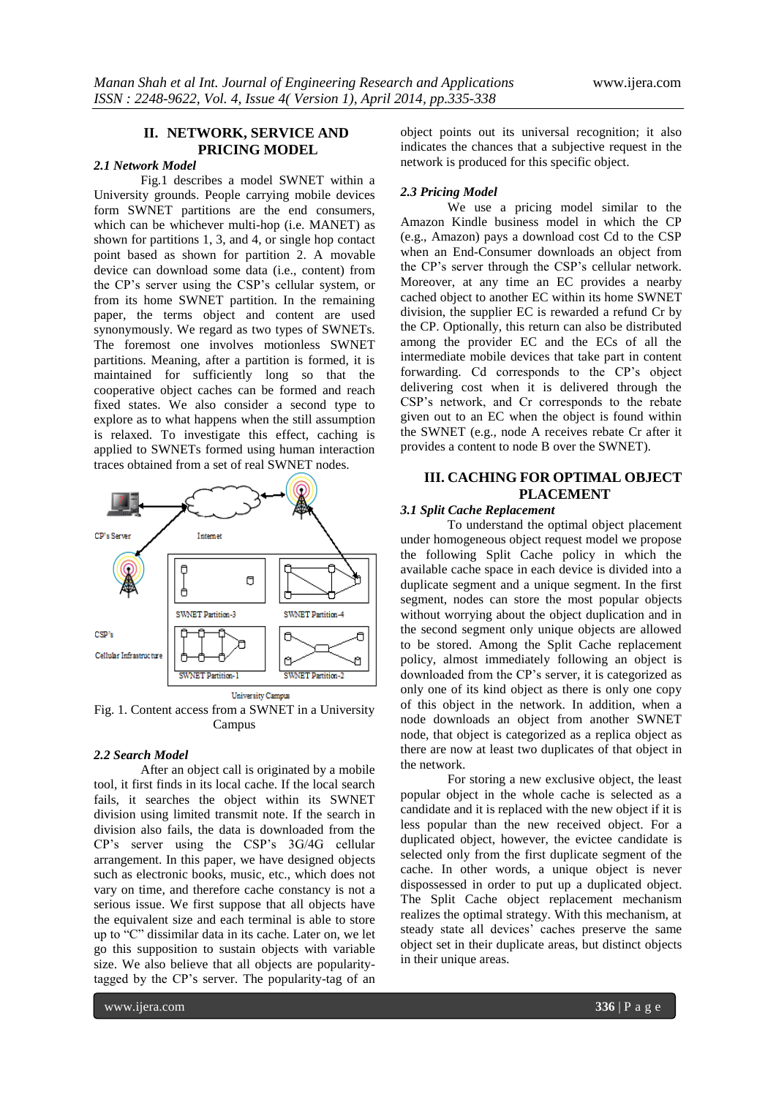# **II. NETWORK, SERVICE AND PRICING MODEL**

# *2.1 Network Model*

Fig.1 describes a model SWNET within a University grounds. People carrying mobile devices form SWNET partitions are the end consumers, which can be whichever multi-hop (i.e. MANET) as shown for partitions 1, 3, and 4, or single hop contact point based as shown for partition 2. A movable device can download some data (i.e., content) from the CP's server using the CSP's cellular system, or from its home SWNET partition. In the remaining paper, the terms object and content are used synonymously. We regard as two types of SWNETs. The foremost one involves motionless SWNET partitions. Meaning, after a partition is formed, it is maintained for sufficiently long so that the cooperative object caches can be formed and reach fixed states. We also consider a second type to explore as to what happens when the still assumption is relaxed. To investigate this effect, caching is applied to SWNETs formed using human interaction traces obtained from a set of real SWNET nodes.



Fig. 1. Content access from a SWNET in a University Campus

### *2.2 Search Model*

After an object call is originated by a mobile tool, it first finds in its local cache. If the local search fails, it searches the object within its SWNET division using limited transmit note. If the search in division also fails, the data is downloaded from the CP's server using the CSP's 3G/4G cellular arrangement. In this paper, we have designed objects such as electronic books, music, etc., which does not vary on time, and therefore cache constancy is not a serious issue. We first suppose that all objects have the equivalent size and each terminal is able to store up to "C" dissimilar data in its cache. Later on, we let go this supposition to sustain objects with variable size. We also believe that all objects are popularitytagged by the CP's server. The popularity-tag of an

object points out its universal recognition; it also indicates the chances that a subjective request in the network is produced for this specific object.

## *2.3 Pricing Model*

We use a pricing model similar to the Amazon Kindle business model in which the CP (e.g., Amazon) pays a download cost Cd to the CSP when an End-Consumer downloads an object from the CP's server through the CSP's cellular network. Moreover, at any time an EC provides a nearby cached object to another EC within its home SWNET division, the supplier EC is rewarded a refund Cr by the CP. Optionally, this return can also be distributed among the provider EC and the ECs of all the intermediate mobile devices that take part in content forwarding. Cd corresponds to the CP's object delivering cost when it is delivered through the CSP's network, and Cr corresponds to the rebate given out to an EC when the object is found within the SWNET (e.g., node A receives rebate Cr after it provides a content to node B over the SWNET).

# **III. CACHING FOR OPTIMAL OBJECT PLACEMENT**

### *3.1 Split Cache Replacement*

To understand the optimal object placement under homogeneous object request model we propose the following Split Cache policy in which the available cache space in each device is divided into a duplicate segment and a unique segment. In the first segment, nodes can store the most popular objects without worrying about the object duplication and in the second segment only unique objects are allowed to be stored. Among the Split Cache replacement policy, almost immediately following an object is downloaded from the CP's server, it is categorized as only one of its kind object as there is only one copy of this object in the network. In addition, when a node downloads an object from another SWNET node, that object is categorized as a replica object as there are now at least two duplicates of that object in the network.

For storing a new exclusive object, the least popular object in the whole cache is selected as a candidate and it is replaced with the new object if it is less popular than the new received object. For a duplicated object, however, the evictee candidate is selected only from the first duplicate segment of the cache. In other words, a unique object is never dispossessed in order to put up a duplicated object. The Split Cache object replacement mechanism realizes the optimal strategy. With this mechanism, at steady state all devices' caches preserve the same object set in their duplicate areas, but distinct objects in their unique areas.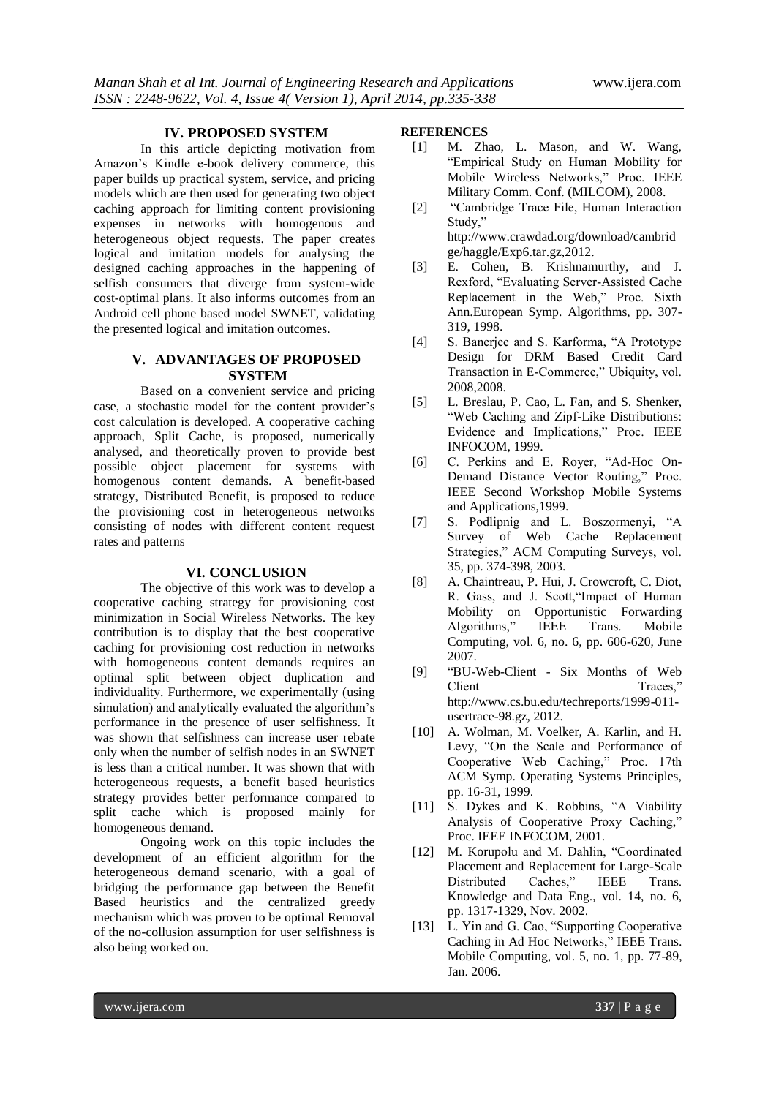### **IV. PROPOSED SYSTEM**

In this article depicting motivation from Amazon's Kindle e-book delivery commerce, this paper builds up practical system, service, and pricing models which are then used for generating two object caching approach for limiting content provisioning expenses in networks with homogenous and heterogeneous object requests. The paper creates logical and imitation models for analysing the designed caching approaches in the happening of selfish consumers that diverge from system-wide cost-optimal plans. It also informs outcomes from an Android cell phone based model SWNET, validating the presented logical and imitation outcomes.

# **V. ADVANTAGES OF PROPOSED SYSTEM**

Based on a convenient service and pricing case, a stochastic model for the content provider's cost calculation is developed. A cooperative caching approach, Split Cache, is proposed, numerically analysed, and theoretically proven to provide best possible object placement for systems with homogenous content demands. A benefit-based strategy, Distributed Benefit, is proposed to reduce the provisioning cost in heterogeneous networks consisting of nodes with different content request rates and patterns

### **VI. CONCLUSION**

The objective of this work was to develop a cooperative caching strategy for provisioning cost minimization in Social Wireless Networks. The key contribution is to display that the best cooperative caching for provisioning cost reduction in networks with homogeneous content demands requires an optimal split between object duplication and individuality. Furthermore, we experimentally (using simulation) and analytically evaluated the algorithm's performance in the presence of user selfishness. It was shown that selfishness can increase user rebate only when the number of selfish nodes in an SWNET is less than a critical number. It was shown that with heterogeneous requests, a benefit based heuristics strategy provides better performance compared to split cache which is proposed mainly for homogeneous demand.

Ongoing work on this topic includes the development of an efficient algorithm for the heterogeneous demand scenario, with a goal of bridging the performance gap between the Benefit Based heuristics and the centralized greedy mechanism which was proven to be optimal Removal of the no-collusion assumption for user selfishness is also being worked on.

## **REFERENCES**

- [1] M. Zhao, L. Mason, and W. Wang, "Empirical Study on Human Mobility for Mobile Wireless Networks," Proc. IEEE Military Comm. Conf. (MILCOM), 2008.
- [2] "Cambridge Trace File, Human Interaction Study," http://www.crawdad.org/download/cambrid ge/haggle/Exp6.tar.gz,2012.
- [3] E. Cohen, B. Krishnamurthy, and J. Rexford, "Evaluating Server-Assisted Cache Replacement in the Web," Proc. Sixth Ann.European Symp. Algorithms, pp. 307- 319, 1998.
- [4] S. Banerjee and S. Karforma, "A Prototype Design for DRM Based Credit Card Transaction in E-Commerce," Ubiquity, vol. 2008,2008.
- [5] L. Breslau, P. Cao, L. Fan, and S. Shenker, "Web Caching and Zipf-Like Distributions: Evidence and Implications," Proc. IEEE INFOCOM, 1999.
- [6] C. Perkins and E. Royer, "Ad-Hoc On-Demand Distance Vector Routing," Proc. IEEE Second Workshop Mobile Systems and Applications,1999.
- [7] S. Podlipnig and L. Boszormenyi, "A Survey of Web Cache Replacement Strategies," ACM Computing Surveys, vol. 35, pp. 374-398, 2003.
- [8] A. Chaintreau, P. Hui, J. Crowcroft, C. Diot, R. Gass, and J. Scott,"Impact of Human Mobility on Opportunistic Forwarding Algorithms," IEEE Trans. Mobile Computing, vol. 6, no. 6, pp. 606-620, June 2007.
- [9] "BU-Web-Client Six Months of Web Client Traces." http://www.cs.bu.edu/techreports/1999-011 usertrace-98.gz, 2012.
- [10] A. Wolman, M. Voelker, A. Karlin, and H. Levy, "On the Scale and Performance of Cooperative Web Caching," Proc. 17th ACM Symp. Operating Systems Principles, pp. 16-31, 1999.
- [11] S. Dykes and K. Robbins, "A Viability Analysis of Cooperative Proxy Caching," Proc. IEEE INFOCOM, 2001.
- [12] M. Korupolu and M. Dahlin, "Coordinated Placement and Replacement for Large-Scale Distributed Caches," IEEE Trans. Knowledge and Data Eng., vol. 14, no. 6, pp. 1317-1329, Nov. 2002.
- [13] L. Yin and G. Cao, "Supporting Cooperative Caching in Ad Hoc Networks," IEEE Trans. Mobile Computing, vol. 5, no. 1, pp. 77-89, Jan. 2006.